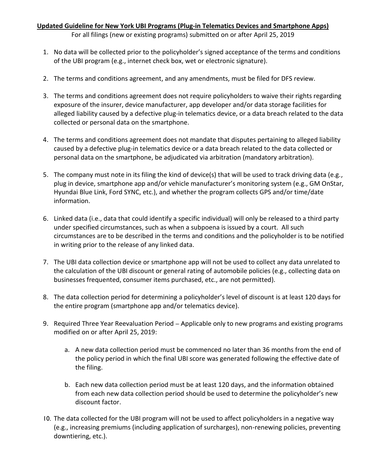## **Updated Guideline for New York UBI Programs (Plug-in Telematics Devices and Smartphone Apps)**

For all filings (new or existing programs) submitted on or after April 25, 2019

- 1. No data will be collected prior to the policyholder's signed acceptance of the terms and conditions of the UBI program (e.g., internet check box, wet or electronic signature).
- 2. The terms and conditions agreement, and any amendments, must be filed for DFS review.
- 3. The terms and conditions agreement does not require policyholders to waive their rights regarding exposure of the insurer, device manufacturer, app developer and/or data storage facilities for alleged liability caused by a defective plug-in telematics device, or a data breach related to the data collected or personal data on the smartphone.
- 4. The terms and conditions agreement does not mandate that disputes pertaining to alleged liability caused by a defective plug-in telematics device or a data breach related to the data collected or personal data on the smartphone, be adjudicated via arbitration (mandatory arbitration).
- 5. The company must note in its filing the kind of device(s) that will be used to track driving data (e.g., plug in device, smartphone app and/or vehicle manufacturer's monitoring system (e.g., GM OnStar, Hyundai Blue Link, Ford SYNC, etc.), and whether the program collects GPS and/or time/date information.
- 6. Linked data (i.e., data that could identify a specific individual) will only be released to a third party under specified circumstances, such as when a subpoena is issued by a court. All such circumstances are to be described in the terms and conditions and the policyholder is to be notified in writing prior to the release of any linked data.
- 7. The UBI data collection device or smartphone app will not be used to collect any data unrelated to the calculation of the UBI discount or general rating of automobile policies (e.g., collecting data on businesses frequented, consumer items purchased, etc., are not permitted).
- 8. The data collection period for determining a policyholder's level of discount is at least 120 days for the entire program (smartphone app and/or telematics device).
- 9. Required Three Year Reevaluation Period Applicable only to new programs and existing programs modified on or after April 25, 2019:
	- a. A new data collection period must be commenced no later than 36 months from the end of the policy period in which the final UBI score was generated following the effective date of the filing.
	- b. Each new data collection period must be at least 120 days, and the information obtained from each new data collection period should be used to determine the policyholder's new discount factor.
- 10. The data collected for the UBI program will not be used to affect policyholders in a negative way (e.g., increasing premiums (including application of surcharges), non-renewing policies, preventing downtiering, etc.).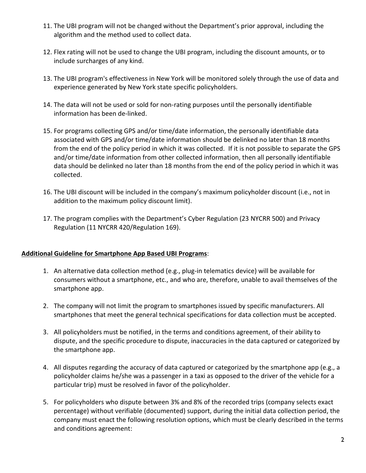- 11. The UBI program will not be changed without the Department's prior approval, including the algorithm and the method used to collect data.
- 12. Flex rating will not be used to change the UBI program, including the discount amounts, or to include surcharges of any kind.
- 13. The UBI program's effectiveness in New York will be monitored solely through the use of data and experience generated by New York state specific policyholders.
- 14. The data will not be used or sold for non-rating purposes until the personally identifiable information has been de-linked.
- 15. For programs collecting GPS and/or time/date information, the personally identifiable data associated with GPS and/or time/date information should be delinked no later than 18 months from the end of the policy period in which it was collected. If it is not possible to separate the GPS and/or time/date information from other collected information, then all personally identifiable data should be delinked no later than 18 months from the end of the policy period in which it was collected.
- 16. The UBI discount will be included in the company's maximum policyholder discount (i.e., not in addition to the maximum policy discount limit).
- 17. The program complies with the Department's Cyber Regulation (23 NYCRR 500) and Privacy Regulation (11 NYCRR 420/Regulation 169).

## **Additional Guideline for Smartphone App Based UBI Programs**:

- 1. An alternative data collection method (e.g., plug-in telematics device) will be available for consumers without a smartphone, etc., and who are, therefore, unable to avail themselves of the smartphone app.
- 2. The company will not limit the program to smartphones issued by specific manufacturers. All smartphones that meet the general technical specifications for data collection must be accepted.
- 3. All policyholders must be notified, in the terms and conditions agreement, of their ability to dispute, and the specific procedure to dispute, inaccuracies in the data captured or categorized by the smartphone app.
- 4. All disputes regarding the accuracy of data captured or categorized by the smartphone app (e.g., a policyholder claims he/she was a passenger in a taxi as opposed to the driver of the vehicle for a particular trip) must be resolved in favor of the policyholder.
- 5. For policyholders who dispute between 3% and 8% of the recorded trips (company selects exact percentage) without verifiable (documented) support, during the initial data collection period, the company must enact the following resolution options, which must be clearly described in the terms and conditions agreement: